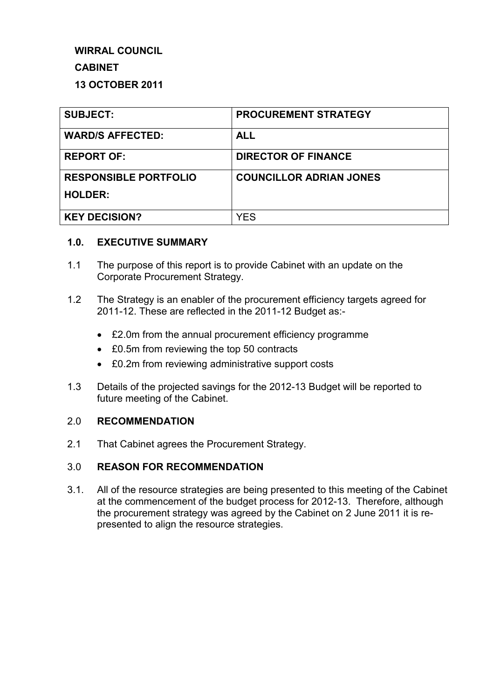## **WIRRAL COUNCIL**

## **CABINET**

## **13 OCTOBER 2011**

| <b>SUBJECT:</b>              | <b>PROCUREMENT STRATEGY</b>    |
|------------------------------|--------------------------------|
| <b>WARD/S AFFECTED:</b>      | <b>ALL</b>                     |
| <b>REPORT OF:</b>            | <b>DIRECTOR OF FINANCE</b>     |
| <b>RESPONSIBLE PORTFOLIO</b> | <b>COUNCILLOR ADRIAN JONES</b> |
| <b>HOLDER:</b>               |                                |
| <b>KEY DECISION?</b>         | YES                            |

#### **1.0. EXECUTIVE SUMMARY**

- 1.1 The purpose of this report is to provide Cabinet with an update on the Corporate Procurement Strategy.
- 1.2 The Strategy is an enabler of the procurement efficiency targets agreed for 2011-12. These are reflected in the 2011-12 Budget as:-
	- £2.0m from the annual procurement efficiency programme
	- £0.5m from reviewing the top 50 contracts
	- £0.2m from reviewing administrative support costs
- 1.3 Details of the projected savings for the 2012-13 Budget will be reported to future meeting of the Cabinet.

#### 2.0 **RECOMMENDATION**

2.1 That Cabinet agrees the Procurement Strategy.

## 3.0 **REASON FOR RECOMMENDATION**

3.1. All of the resource strategies are being presented to this meeting of the Cabinet at the commencement of the budget process for 2012-13. Therefore, although the procurement strategy was agreed by the Cabinet on 2 June 2011 it is represented to align the resource strategies.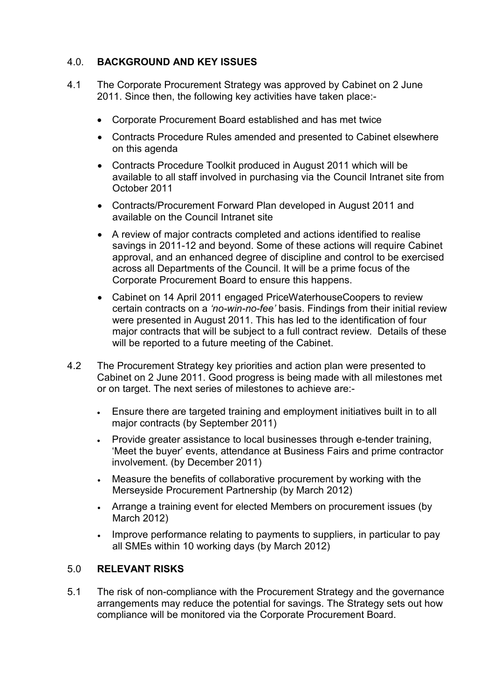# 4.0. **BACKGROUND AND KEY ISSUES**

- 4.1 The Corporate Procurement Strategy was approved by Cabinet on 2 June 2011. Since then, the following key activities have taken place:-
	- Corporate Procurement Board established and has met twice
	- Contracts Procedure Rules amended and presented to Cabinet elsewhere on this agenda
	- Contracts Procedure Toolkit produced in August 2011 which will be available to all staff involved in purchasing via the Council Intranet site from October 2011
	- Contracts/Procurement Forward Plan developed in August 2011 and available on the Council Intranet site
	- A review of major contracts completed and actions identified to realise savings in 2011-12 and beyond. Some of these actions will require Cabinet approval, and an enhanced degree of discipline and control to be exercised across all Departments of the Council. It will be a prime focus of the Corporate Procurement Board to ensure this happens.
	- Cabinet on 14 April 2011 engaged PriceWaterhouseCoopers to review certain contracts on a *'no-win-no-fee'* basis. Findings from their initial review were presented in August 2011. This has led to the identification of four major contracts that will be subject to a full contract review. Details of these will be reported to a future meeting of the Cabinet.
- 4.2 The Procurement Strategy key priorities and action plan were presented to Cabinet on 2 June 2011. Good progress is being made with all milestones met or on target. The next series of milestones to achieve are:-
	- Ensure there are targeted training and employment initiatives built in to all major contracts (by September 2011)
	- Provide greater assistance to local businesses through e-tender training, 'Meet the buyer' events, attendance at Business Fairs and prime contractor involvement. (by December 2011)
	- Measure the benefits of collaborative procurement by working with the Merseyside Procurement Partnership (by March 2012)
	- Arrange a training event for elected Members on procurement issues (by March 2012)
	- Improve performance relating to payments to suppliers, in particular to pay all SMEs within 10 working days (by March 2012)

## 5.0 **RELEVANT RISKS**

5.1 The risk of non-compliance with the Procurement Strategy and the governance arrangements may reduce the potential for savings. The Strategy sets out how compliance will be monitored via the Corporate Procurement Board.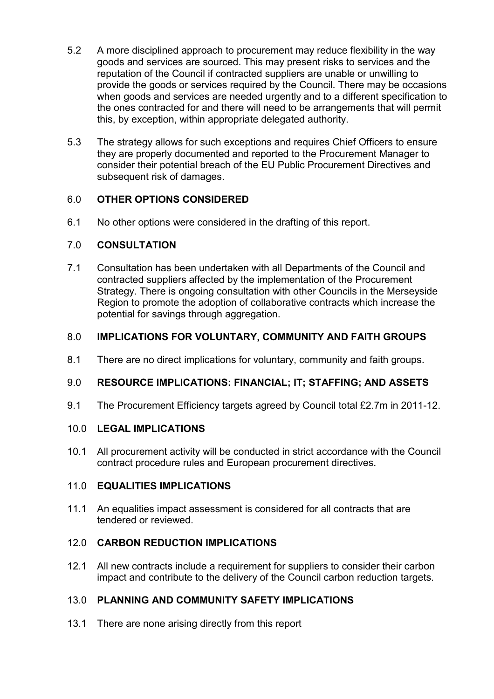- 5.2 A more disciplined approach to procurement may reduce flexibility in the way goods and services are sourced. This may present risks to services and the reputation of the Council if contracted suppliers are unable or unwilling to provide the goods or services required by the Council. There may be occasions when goods and services are needed urgently and to a different specification to the ones contracted for and there will need to be arrangements that will permit this, by exception, within appropriate delegated authority.
- 5.3 The strategy allows for such exceptions and requires Chief Officers to ensure they are properly documented and reported to the Procurement Manager to consider their potential breach of the EU Public Procurement Directives and subsequent risk of damages.

# 6.0 **OTHER OPTIONS CONSIDERED**

6.1 No other options were considered in the drafting of this report.

## 7.0 **CONSULTATION**

7.1 Consultation has been undertaken with all Departments of the Council and contracted suppliers affected by the implementation of the Procurement Strategy. There is ongoing consultation with other Councils in the Merseyside Region to promote the adoption of collaborative contracts which increase the potential for savings through aggregation.

## 8.0 **IMPLICATIONS FOR VOLUNTARY, COMMUNITY AND FAITH GROUPS**

8.1 There are no direct implications for voluntary, community and faith groups.

## 9.0 **RESOURCE IMPLICATIONS: FINANCIAL; IT; STAFFING; AND ASSETS**

9.1 The Procurement Efficiency targets agreed by Council total £2.7m in 2011-12.

#### 10.0 **LEGAL IMPLICATIONS**

10.1 All procurement activity will be conducted in strict accordance with the Council contract procedure rules and European procurement directives.

## 11.0 **EQUALITIES IMPLICATIONS**

11.1 An equalities impact assessment is considered for all contracts that are tendered or reviewed.

## 12.0 **CARBON REDUCTION IMPLICATIONS**

12.1 All new contracts include a requirement for suppliers to consider their carbon impact and contribute to the delivery of the Council carbon reduction targets.

## 13.0 **PLANNING AND COMMUNITY SAFETY IMPLICATIONS**

13.1 There are none arising directly from this report